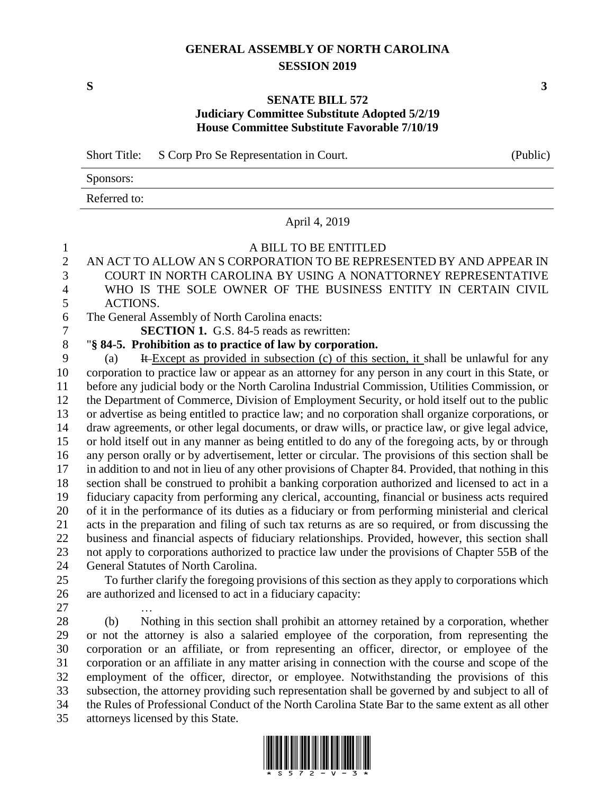## **GENERAL ASSEMBLY OF NORTH CAROLINA SESSION 2019**

### **SENATE BILL 572 Judiciary Committee Substitute Adopted 5/2/19 House Committee Substitute Favorable 7/10/19**

Short Title: S Corp Pro Se Representation in Court. (Public)

| Sponsors:    |  |  |
|--------------|--|--|
| Referred to: |  |  |

#### April 4, 2019

### A BILL TO BE ENTITLED AN ACT TO ALLOW AN S CORPORATION TO BE REPRESENTED BY AND APPEAR IN COURT IN NORTH CAROLINA BY USING A NONATTORNEY REPRESENTATIVE WHO IS THE SOLE OWNER OF THE BUSINESS ENTITY IN CERTAIN CIVIL ACTIONS. The General Assembly of North Carolina enacts: **SECTION 1.** G.S. 84-5 reads as rewritten: "**§ 84-5. Prohibition as to practice of law by corporation.** (a) It Except as provided in subsection (c) of this section, it shall be unlawful for any corporation to practice law or appear as an attorney for any person in any court in this State, or before any judicial body or the North Carolina Industrial Commission, Utilities Commission, or the Department of Commerce, Division of Employment Security, or hold itself out to the public or advertise as being entitled to practice law; and no corporation shall organize corporations, or draw agreements, or other legal documents, or draw wills, or practice law, or give legal advice, or hold itself out in any manner as being entitled to do any of the foregoing acts, by or through any person orally or by advertisement, letter or circular. The provisions of this section shall be in addition to and not in lieu of any other provisions of Chapter 84. Provided, that nothing in this section shall be construed to prohibit a banking corporation authorized and licensed to act in a fiduciary capacity from performing any clerical, accounting, financial or business acts required of it in the performance of its duties as a fiduciary or from performing ministerial and clerical acts in the preparation and filing of such tax returns as are so required, or from discussing the business and financial aspects of fiduciary relationships. Provided, however, this section shall not apply to corporations authorized to practice law under the provisions of Chapter 55B of the General Statutes of North Carolina. To further clarify the foregoing provisions of this section as they apply to corporations which

…

are authorized and licensed to act in a fiduciary capacity:

 (b) Nothing in this section shall prohibit an attorney retained by a corporation, whether or not the attorney is also a salaried employee of the corporation, from representing the corporation or an affiliate, or from representing an officer, director, or employee of the corporation or an affiliate in any matter arising in connection with the course and scope of the employment of the officer, director, or employee. Notwithstanding the provisions of this subsection, the attorney providing such representation shall be governed by and subject to all of the Rules of Professional Conduct of the North Carolina State Bar to the same extent as all other attorneys licensed by this State.

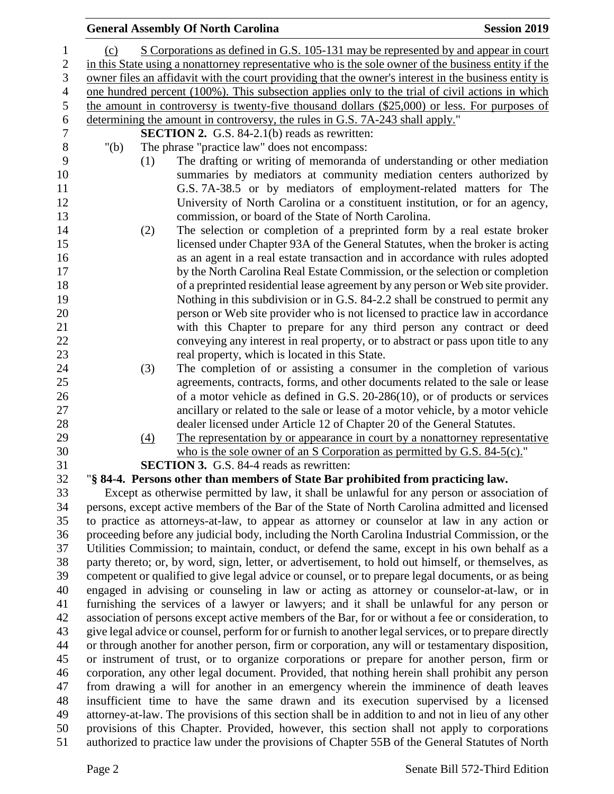|                |                                                                                                                                                                                              |     | <b>General Assembly Of North Carolina</b>                                                             | <b>Session 2019</b> |  |  |  |
|----------------|----------------------------------------------------------------------------------------------------------------------------------------------------------------------------------------------|-----|-------------------------------------------------------------------------------------------------------|---------------------|--|--|--|
| 1              | (c)                                                                                                                                                                                          |     | S Corporations as defined in G.S. 105-131 may be represented by and appear in court                   |                     |  |  |  |
| $\sqrt{2}$     |                                                                                                                                                                                              |     | in this State using a nonattorney representative who is the sole owner of the business entity if the  |                     |  |  |  |
| 3              |                                                                                                                                                                                              |     | owner files an affidavit with the court providing that the owner's interest in the business entity is |                     |  |  |  |
| $\overline{4}$ |                                                                                                                                                                                              |     | one hundred percent (100%). This subsection applies only to the trial of civil actions in which       |                     |  |  |  |
| $\mathfrak s$  |                                                                                                                                                                                              |     | the amount in controversy is twenty-five thousand dollars (\$25,000) or less. For purposes of         |                     |  |  |  |
| 6              |                                                                                                                                                                                              |     | determining the amount in controversy, the rules in G.S. 7A-243 shall apply."                         |                     |  |  |  |
| $\overline{7}$ |                                                                                                                                                                                              |     | <b>SECTION 2.</b> G.S. 84-2.1(b) reads as rewritten:                                                  |                     |  |  |  |
| $8\,$          | " $(b)$                                                                                                                                                                                      |     | The phrase "practice law" does not encompass:                                                         |                     |  |  |  |
| 9              |                                                                                                                                                                                              | (1) | The drafting or writing of memoranda of understanding or other mediation                              |                     |  |  |  |
| 10             |                                                                                                                                                                                              |     | summaries by mediators at community mediation centers authorized by                                   |                     |  |  |  |
| 11             |                                                                                                                                                                                              |     | G.S. 7A-38.5 or by mediators of employment-related matters for The                                    |                     |  |  |  |
| 12             |                                                                                                                                                                                              |     | University of North Carolina or a constituent institution, or for an agency,                          |                     |  |  |  |
| 13             |                                                                                                                                                                                              |     | commission, or board of the State of North Carolina.                                                  |                     |  |  |  |
| 14             |                                                                                                                                                                                              | (2) | The selection or completion of a preprinted form by a real estate broker                              |                     |  |  |  |
| 15             |                                                                                                                                                                                              |     | licensed under Chapter 93A of the General Statutes, when the broker is acting                         |                     |  |  |  |
| 16             |                                                                                                                                                                                              |     | as an agent in a real estate transaction and in accordance with rules adopted                         |                     |  |  |  |
| 17             |                                                                                                                                                                                              |     | by the North Carolina Real Estate Commission, or the selection or completion                          |                     |  |  |  |
| 18             |                                                                                                                                                                                              |     | of a preprinted residential lease agreement by any person or Web site provider.                       |                     |  |  |  |
| 19             |                                                                                                                                                                                              |     | Nothing in this subdivision or in G.S. 84-2.2 shall be construed to permit any                        |                     |  |  |  |
| 20             |                                                                                                                                                                                              |     | person or Web site provider who is not licensed to practice law in accordance                         |                     |  |  |  |
| 21             |                                                                                                                                                                                              |     | with this Chapter to prepare for any third person any contract or deed                                |                     |  |  |  |
| 22             |                                                                                                                                                                                              |     | conveying any interest in real property, or to abstract or pass upon title to any                     |                     |  |  |  |
| 23             |                                                                                                                                                                                              |     | real property, which is located in this State.                                                        |                     |  |  |  |
| 24             |                                                                                                                                                                                              | (3) | The completion of or assisting a consumer in the completion of various                                |                     |  |  |  |
| 25             |                                                                                                                                                                                              |     | agreements, contracts, forms, and other documents related to the sale or lease                        |                     |  |  |  |
| 26             |                                                                                                                                                                                              |     | of a motor vehicle as defined in G.S. 20-286(10), or of products or services                          |                     |  |  |  |
| 27             |                                                                                                                                                                                              |     | ancillary or related to the sale or lease of a motor vehicle, by a motor vehicle                      |                     |  |  |  |
| 28             |                                                                                                                                                                                              |     | dealer licensed under Article 12 of Chapter 20 of the General Statutes.                               |                     |  |  |  |
| 29             |                                                                                                                                                                                              | (4) | The representation by or appearance in court by a nonattorney representative                          |                     |  |  |  |
| 30             |                                                                                                                                                                                              |     | who is the sole owner of an S Corporation as permitted by G.S. 84-5(c)."                              |                     |  |  |  |
| 31             |                                                                                                                                                                                              |     | <b>SECTION 3.</b> G.S. 84-4 reads as rewritten:                                                       |                     |  |  |  |
| 32             |                                                                                                                                                                                              |     | "§ 84-4. Persons other than members of State Bar prohibited from practicing law.                      |                     |  |  |  |
| 33             |                                                                                                                                                                                              |     | Except as otherwise permitted by law, it shall be unlawful for any person or association of           |                     |  |  |  |
| 34             |                                                                                                                                                                                              |     | persons, except active members of the Bar of the State of North Carolina admitted and licensed        |                     |  |  |  |
| 35             |                                                                                                                                                                                              |     | to practice as attorneys-at-law, to appear as attorney or counselor at law in any action or           |                     |  |  |  |
| 36             |                                                                                                                                                                                              |     | proceeding before any judicial body, including the North Carolina Industrial Commission, or the       |                     |  |  |  |
| 37             |                                                                                                                                                                                              |     | Utilities Commission; to maintain, conduct, or defend the same, except in his own behalf as a         |                     |  |  |  |
| 38             |                                                                                                                                                                                              |     | party thereto; or, by word, sign, letter, or advertisement, to hold out himself, or themselves, as    |                     |  |  |  |
| 39             | competent or qualified to give legal advice or counsel, or to prepare legal documents, or as being                                                                                           |     |                                                                                                       |                     |  |  |  |
| 40             | engaged in advising or counseling in law or acting as attorney or counselor-at-law, or in                                                                                                    |     |                                                                                                       |                     |  |  |  |
| 41             | furnishing the services of a lawyer or lawyers; and it shall be unlawful for any person or                                                                                                   |     |                                                                                                       |                     |  |  |  |
| 42             | association of persons except active members of the Bar, for or without a fee or consideration, to                                                                                           |     |                                                                                                       |                     |  |  |  |
| 43             | give legal advice or counsel, perform for or furnish to another legal services, or to prepare directly                                                                                       |     |                                                                                                       |                     |  |  |  |
| 44<br>45       | or through another for another person, firm or corporation, any will or testamentary disposition,                                                                                            |     |                                                                                                       |                     |  |  |  |
| 46             | or instrument of trust, or to organize corporations or prepare for another person, firm or<br>corporation, any other legal document. Provided, that nothing herein shall prohibit any person |     |                                                                                                       |                     |  |  |  |
| 47             | from drawing a will for another in an emergency wherein the imminence of death leaves                                                                                                        |     |                                                                                                       |                     |  |  |  |
| 48             | insufficient time to have the same drawn and its execution supervised by a licensed                                                                                                          |     |                                                                                                       |                     |  |  |  |
| 49             |                                                                                                                                                                                              |     | attorney-at-law. The provisions of this section shall be in addition to and not in lieu of any other  |                     |  |  |  |

 provisions of this Chapter. Provided, however, this section shall not apply to corporations 51 authorized to practice law under the provisions of Chapter 55B of the General Statutes of North